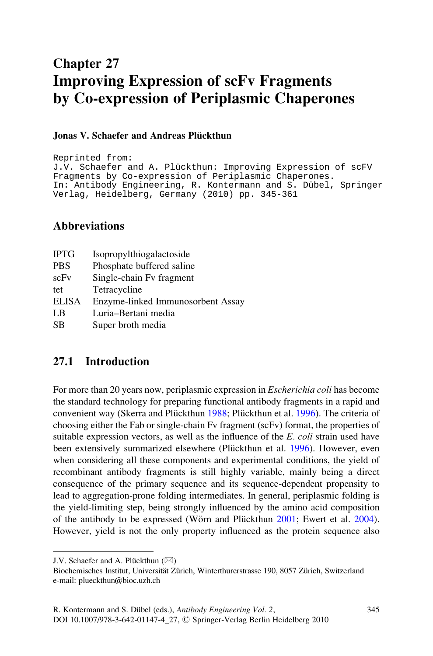## Chapter 27 Improving Expression of scFv Fragments by Co-expression of Periplasmic Chaperones

#### Jonas V. Schaefer and Andreas Plückthun

J.V. Schaefer and A. Plückthun: Improving Expression of scFV Fragments by Co-expression of Periplasmic Chaperones. In: Antibody Engineering, R. Kontermann and S. Dübel, Springer Verlag, Heidelberg, Germany (2010) pp. 345-361

## Abbreviations

| <b>IPTG</b>  | Isopropylthiogalactoside          |
|--------------|-----------------------------------|
| <b>PBS</b>   | Phosphate buffered saline         |
| scFv         | Single-chain Fv fragment          |
| tet          | Tetracycline                      |
| <b>ELISA</b> | Enzyme-linked Immunosorbent Assay |
| LB           | Luria-Bertani media               |
| <b>SB</b>    | Super broth media                 |

## 27.1 Introduction

For more than 20 years now, periplasmic expression in Escherichia coli has become the standard technology for preparing functional antibody fragments in a rapid and convenient way (Skerra and Plückthun [1988;](#page-16-0) Plückthun et al. [1996](#page-15-0)). The criteria of choosing either the Fab or single-chain Fv fragment (scFv) format, the properties of suitable expression vectors, as well as the influence of the  $E$ . *coli* strain used have been extensively summarized elsewhere (Plückthun et al. [1996](#page-15-0)). However, even when considering all these components and experimental conditions, the yield of recombinant antibody fragments is still highly variable, mainly being a direct consequence of the primary sequence and its sequence-dependent propensity to lead to aggregation-prone folding intermediates. In general, periplasmic folding is the yield-limiting step, being strongly influenced by the amino acid composition of the antibody to be expressed (Wörn and Plückthun  $2001$ ; Ewert et al.  $2004$ ). However, yield is not the only property influenced as the protein sequence also Reprinted from:<br>
Experimental from:<br>
Experimental from:<br>
Experimental by Co-expression of sort placeaute chapernomes J.<br>
The Antibody Imglineering, R. Konternamm and S. Dibel, Springe<br>
Virtual, Antibody Imglineering, R. Ko

J.V. Schaefer and A. Plückthun  $(\boxtimes)$ 

Biochemisches Institut, Universität Zürich, Winterthurerstrasse 190, 8057 Zürich, Switzerland e-mail: plueckthun@bioc.uzh.ch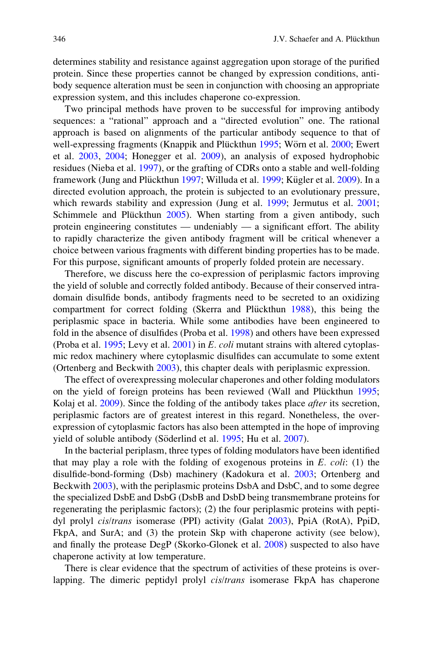determines stability and resistance against aggregation upon storage of the purified protein. Since these properties cannot be changed by expression conditions, antibody sequence alteration must be seen in conjunction with choosing an appropriate expression system, and this includes chaperone co-expression.

Two principal methods have proven to be successful for improving antibody sequences: a "rational" approach and a "directed evolution" one. The rational approach is based on alignments of the particular antibody sequence to that of well-expressing fragments (Knappik and Plückthun [1995](#page-15-0); Wörn et al. [2000](#page-16-0); Ewert et al. [2003,](#page-14-0) [2004;](#page-15-0) Honegger et al. [2009\)](#page-15-0), an analysis of exposed hydrophobic residues (Nieba et al. [1997\)](#page-15-0), or the grafting of CDRs onto a stable and well-folding framework (Jung and Plückthun [1997](#page-15-0); Willuda et al. [1999](#page-16-0); Kügler et al. [2009](#page-15-0)). In a directed evolution approach, the protein is subjected to an evolutionary pressure, which rewards stability and expression (Jung et al. [1999;](#page-15-0) Jermutus et al. [2001;](#page-15-0) Schimmele and Plückthun  $2005$ ). When starting from a given antibody, such protein engineering constitutes — undeniably — a significant effort. The ability to rapidly characterize the given antibody fragment will be critical whenever a choice between various fragments with different binding properties has to be made. For this purpose, significant amounts of properly folded protein are necessary.

Therefore, we discuss here the co-expression of periplasmic factors improving the yield of soluble and correctly folded antibody. Because of their conserved intradomain disulfide bonds, antibody fragments need to be secreted to an oxidizing compartment for correct folding (Skerra and Plückthun [1988](#page-16-0)), this being the periplasmic space in bacteria. While some antibodies have been engineered to fold in the absence of disulfides (Proba et al. [1998\)](#page-16-0) and others have been expressed (Proba et al. [1995;](#page-15-0) Levy et al.  $2001$ ) in E. coli mutant strains with altered cytoplasmic redox machinery where cytoplasmic disulfides can accumulate to some extent (Ortenberg and Beckwith [2003\)](#page-15-0), this chapter deals with periplasmic expression.

The effect of overexpressing molecular chaperones and other folding modulators on the yield of foreign proteins has been reviewed (Wall and Plückthun [1995;](#page-16-0) Kolaj et al. [2009](#page-15-0)). Since the folding of the antibody takes place *after* its secretion, periplasmic factors are of greatest interest in this regard. Nonetheless, the overexpression of cytoplasmic factors has also been attempted in the hope of improving yield of soluble antibody (Söderlind et al. [1995;](#page-16-0) Hu et al. [2007](#page-15-0)).

In the bacterial periplasm, three types of folding modulators have been identified that may play a role with the folding of exogenous proteins in  $E$ . *coli*: (1) the disulfide-bond-forming (Dsb) machinery (Kadokura et al. [2003;](#page-15-0) Ortenberg and Beckwith [2003](#page-15-0)), with the periplasmic proteins DsbA and DsbC, and to some degree the specialized DsbE and DsbG (DsbB and DsbD being transmembrane proteins for regenerating the periplasmic factors); (2) the four periplasmic proteins with peptidyl prolyl cis/trans isomerase (PPI) activity (Galat [2003](#page-15-0)), PpiA (RotA), PpiD, FkpA, and SurA; and (3) the protein Skp with chaperone activity (see below), and finally the protease DegP (Skorko-Glonek et al. [2008](#page-16-0)) suspected to also have chaperone activity at low temperature.

There is clear evidence that the spectrum of activities of these proteins is overlapping. The dimeric peptidyl prolyl *cis/trans* isomerase FkpA has chaperone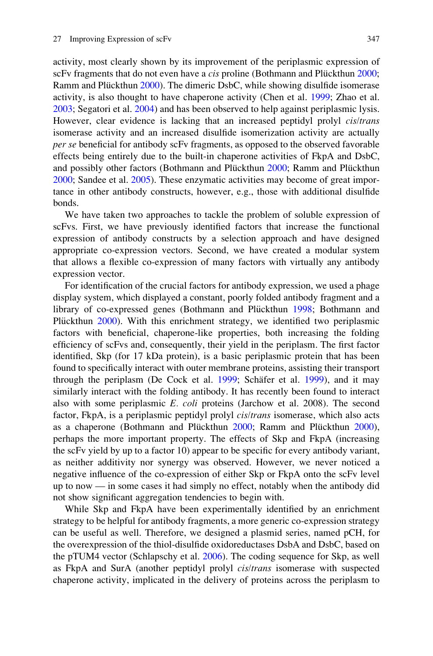activity, most clearly shown by its improvement of the periplasmic expression of scFv fragments that do not even have a *cis* proline (Bothmann and Plückthun  $2000$ ; Ramm and Plückthun [2000](#page-16-0)). The dimeric DsbC, while showing disulfide isomerase activity, is also thought to have chaperone activity (Chen et al. [1999](#page-14-0); Zhao et al. [2003;](#page-16-0) Segatori et al. [2004\)](#page-16-0) and has been observed to help against periplasmic lysis. However, clear evidence is lacking that an increased peptidyl prolyl cis/trans isomerase activity and an increased disulfide isomerization activity are actually per se beneficial for antibody scFv fragments, as opposed to the observed favorable effects being entirely due to the built-in chaperone activities of FkpA and DsbC, and possibly other factors (Bothmann and Plückthun [2000;](#page-14-0) Ramm and Plückthun [2000;](#page-16-0) Sandee et al. [2005](#page-16-0)). These enzymatic activities may become of great importance in other antibody constructs, however, e.g., those with additional disulfide bonds.

We have taken two approaches to tackle the problem of soluble expression of scFvs. First, we have previously identified factors that increase the functional expression of antibody constructs by a selection approach and have designed appropriate co-expression vectors. Second, we have created a modular system that allows a flexible co-expression of many factors with virtually any antibody expression vector.

For identification of the crucial factors for antibody expression, we used a phage display system, which displayed a constant, poorly folded antibody fragment and a library of co-expressed genes (Bothmann and Plückthun [1998](#page-14-0); Bothmann and Plückthun [2000\)](#page-14-0). With this enrichment strategy, we identified two periplasmic factors with beneficial, chaperone-like properties, both increasing the folding efficiency of scFvs and, consequently, their yield in the periplasm. The first factor identified, Skp (for 17 kDa protein), is a basic periplasmic protein that has been found to specifically interact with outer membrane proteins, assisting their transport through the periplasm (De Cock et al.  $1999$ ; Schäfer et al. 1999), and it may similarly interact with the folding antibody. It has recently been found to interact also with some periplasmic E. coli proteins (Jarchow et al. 2008). The second factor, FkpA, is a periplasmic peptidyl prolyl cis/trans isomerase, which also acts as a chaperone (Bothmann and Plückthun [2000](#page-14-0); Ramm and Plückthun [2000\)](#page-16-0), perhaps the more important property. The effects of Skp and FkpA (increasing the scFv yield by up to a factor 10) appear to be specific for every antibody variant, as neither additivity nor synergy was observed. However, we never noticed a negative influence of the co-expression of either Skp or FkpA onto the scFv level up to now — in some cases it had simply no effect, notably when the antibody did not show significant aggregation tendencies to begin with.

While Skp and FkpA have been experimentally identified by an enrichment strategy to be helpful for antibody fragments, a more generic co-expression strategy can be useful as well. Therefore, we designed a plasmid series, named pCH, for the overexpression of the thiol-disulfide oxidoreductases DsbA and DsbC, based on the pTUM4 vector (Schlapschy et al. [2006\)](#page-16-0). The coding sequence for Skp, as well as FkpA and SurA (another peptidyl prolyl cis/trans isomerase with suspected chaperone activity, implicated in the delivery of proteins across the periplasm to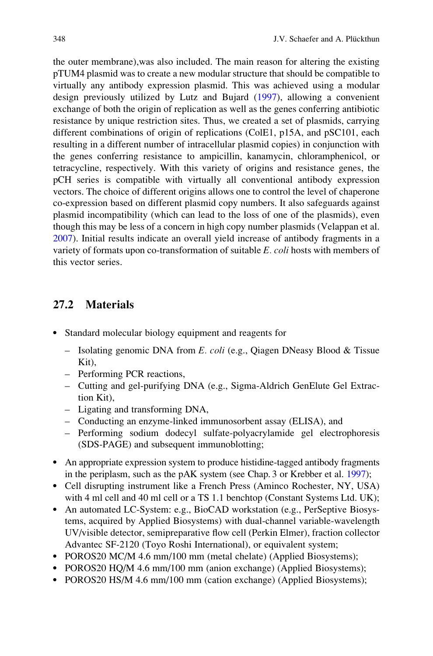the outer membrane),was also included. The main reason for altering the existing pTUM4 plasmid was to create a new modular structure that should be compatible to virtually any antibody expression plasmid. This was achieved using a modular design previously utilized by Lutz and Bujard [\(1997](#page-15-0)), allowing a convenient exchange of both the origin of replication as well as the genes conferring antibiotic resistance by unique restriction sites. Thus, we created a set of plasmids, carrying different combinations of origin of replications (ColE1, p15A, and pSC101, each resulting in a different number of intracellular plasmid copies) in conjunction with the genes conferring resistance to ampicillin, kanamycin, chloramphenicol, or tetracycline, respectively. With this variety of origins and resistance genes, the pCH series is compatible with virtually all conventional antibody expression vectors. The choice of different origins allows one to control the level of chaperone co-expression based on different plasmid copy numbers. It also safeguards against plasmid incompatibility (which can lead to the loss of one of the plasmids), even though this may be less of a concern in high copy number plasmids (Velappan et al. [2007\)](#page-16-0). Initial results indicate an overall yield increase of antibody fragments in a variety of formats upon co-transformation of suitable E. coli hosts with members of this vector series.

## 27.2 Materials

- Standard molecular biology equipment and reagents for
	- Isolating genomic DNA from E. coli (e.g., Qiagen DNeasy Blood  $&$  Tissue Kit),
	- Performing PCR reactions,
	- Cutting and gel-purifying DNA (e.g., Sigma-Aldrich GenElute Gel Extraction Kit),
	- Ligating and transforming DNA,
	- Conducting an enzyme-linked immunosorbent assay (ELISA), and
	- Performing sodium dodecyl sulfate-polyacrylamide gel electrophoresis (SDS-PAGE) and subsequent immunoblotting;
- An appropriate expression system to produce histidine-tagged antibody fragments in the periplasm, such as the pAK system (see Chap. 3 or Krebber et al. [1997](#page-15-0));
- Cell disrupting instrument like a French Press (Aminco Rochester, NY, USA) with 4 ml cell and 40 ml cell or a TS 1.1 benchtop (Constant Systems Ltd. UK);
- An automated LC-System: e.g., BioCAD workstation (e.g., PerSeptive Biosystems, acquired by Applied Biosystems) with dual-channel variable-wavelength UV/visible detector, semipreparative flow cell (Perkin Elmer), fraction collector Advantec SF-2120 (Toyo Roshi International), or equivalent system;
- POROS20 MC/M 4.6 mm/100 mm (metal chelate) (Applied Biosystems);
- POROS20 HQ/M 4.6 mm/100 mm (anion exchange) (Applied Biosystems);
- POROS20 HS/M 4.6 mm/100 mm (cation exchange) (Applied Biosystems);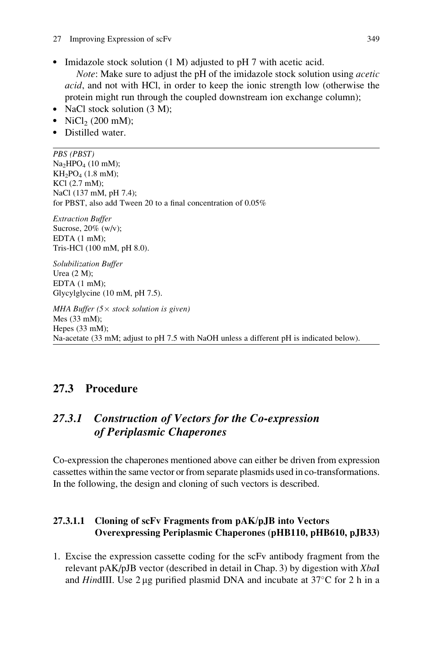27 Improving Expression of scFv 349

• Imidazole stock solution  $(1 M)$  adjusted to pH 7 with acetic acid.

Note: Make sure to adjust the pH of the imidazole stock solution using *acetic* acid, and not with HCl, in order to keep the ionic strength low (otherwise the protein might run through the coupled downstream ion exchange column);

- NaCl stock solution  $(3 M)$ ;
- NiCl<sub>2</sub> (200 mM);
- Distilled water.

PBS (PBST)  $Na<sub>2</sub>HPO<sub>4</sub>$  (10 mM);  $KH_2PO_4$  (1.8 mM); KCl (2.7 mM); NaCl (137 mM, pH 7.4); for PBST, also add Tween 20 to a final concentration of 0.05%

Extraction Buffer Sucrose, 20% (w/v); EDTA (1 mM); Tris-HCl (100 mM, pH 8.0).

Solubilization Buffer Urea (2 M); EDTA (1 mM); Glycylglycine (10 mM, pH 7.5).

MHA Buffer  $(5 \times$  stock solution is given) Mes (33 mM); Hepes (33 mM); Na-acetate (33 mM; adjust to pH 7.5 with NaOH unless a different pH is indicated below).

## 27.3 Procedure

### **Construction of Vectors for the Co-expression of Periplasmic Chaperones** 27.3.1  $\sum_{i=1}^{n}$

Co-expression the chaperones mentioned above can either be driven from expression cassettes within the same vector or from separate plasmids used in co-transformations. In the following, the design and cloning of such vectors is described.

#### 27.3.1.1 Cloning of scFv Fragments from pAK/pJB into Vectors Overexpressing Periplasmic Chaperones (pHB110, pHB610, pJB33)

1. Excise the expression cassette coding for the scFv antibody fragment from the relevant pAK/pJB vector (described in detail in Chap. 3) by digestion with XbaI and HindIII. Use 2 µg purified plasmid DNA and incubate at  $37^{\circ}$ C for 2 h in a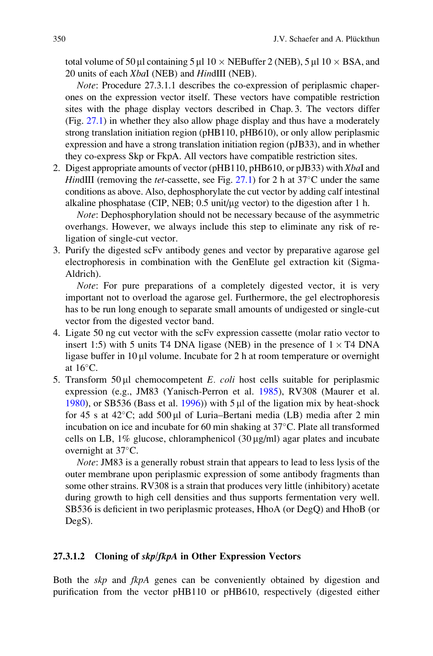total volume of 50  $\mu$ l containing 5  $\mu$ l 10  $\times$  NEBuffer 2 (NEB), 5  $\mu$ l 10  $\times$  BSA, and 20 units of each XbaI (NEB) and HindIII (NEB).

Note: Procedure 27.3.1.1 describes the co-expression of periplasmic chaperones on the expression vector itself. These vectors have compatible restriction sites with the phage display vectors described in Chap. 3. The vectors differ (Fig. [27.1\)](#page-6-0) in whether they also allow phage display and thus have a moderately strong translation initiation region (pHB110, pHB610), or only allow periplasmic expression and have a strong translation initiation region (pJB33), and in whether they co-express Skp or FkpA. All vectors have compatible restriction sites.

2. Digest appropriate amounts of vector (pHB110, pHB610, or pJB33) with XbaI and HindIII (removing the *tet*-cassette, see Fig.  $27.1$ ) for 2 h at 37°C under the same conditions as above. Also, dephosphorylate the cut vector by adding calf intestinal alkaline phosphatase (CIP, NEB; 0.5 unit/µg vector) to the digestion after 1 h.

Note: Dephosphorylation should not be necessary because of the asymmetric overhangs. However, we always include this step to eliminate any risk of religation of single-cut vector.

3. Purify the digested scFv antibody genes and vector by preparative agarose gel electrophoresis in combination with the GenElute gel extraction kit (Sigma-Aldrich).

Note: For pure preparations of a completely digested vector, it is very important not to overload the agarose gel. Furthermore, the gel electrophoresis has to be run long enough to separate small amounts of undigested or single-cut vector from the digested vector band.

- 4. Ligate 50 ng cut vector with the scFv expression cassette (molar ratio vector to insert 1:5) with 5 units T4 DNA ligase (NEB) in the presence of  $1 \times T4$  DNA ligase buffer in  $10 \mu l$  volume. Incubate for  $2 h$  at room temperature or overnight at  $16^{\circ}$ C.
- 5. Transform 50  $\mu$ l chemocompetent *E. coli* host cells suitable for periplasmic expression (e.g., JM83 (Yanisch-Perron et al. [1985\)](#page-16-0), RV308 (Maurer et al. [1980](#page-15-0)), or SB536 (Bass et al. [1996\)](#page-14-0)) with 5  $\mu$ l of the ligation mix by heat-shock for 45 s at  $42^{\circ}$ C; add 500 µl of Luria–Bertani media (LB) media after 2 min incubation on ice and incubate for 60 min shaking at  $37^{\circ}$ C. Plate all transformed cells on LB,  $1\%$  glucose, chloramphenicol  $(30 \mu g/ml)$  agar plates and incubate overnight at  $37^{\circ}$ C.

Note: JM83 is a generally robust strain that appears to lead to less lysis of the outer membrane upon periplasmic expression of some antibody fragments than some other strains. RV308 is a strain that produces very little (inhibitory) acetate during growth to high cell densities and thus supports fermentation very well. SB536 is deficient in two periplasmic proteases, HhoA (or DegQ) and HhoB (or DegS).

#### 27.3.1.2 Cloning of skp/fkpA in Other Expression Vectors

Both the skp and fkpA genes can be conveniently obtained by digestion and purification from the vector pHB110 or pHB610, respectively (digested either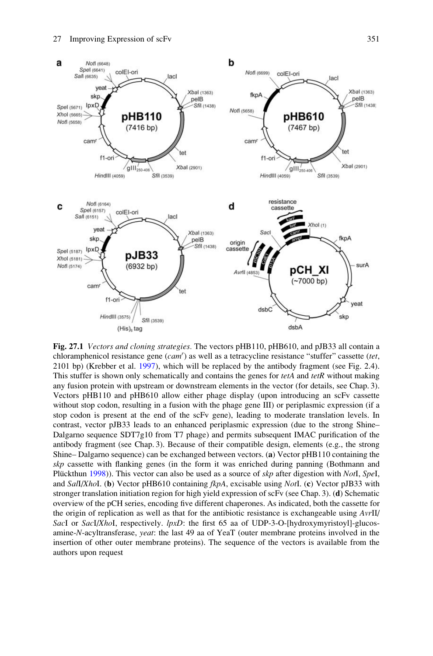<span id="page-6-0"></span>

Fig. 27.1 Vectors and cloning strategies. The vectors pHB110, pHB610, and pJB33 all contain a chloramphenicol resistance gene (cam') as well as a tetracycline resistance "stuffer" cassette (tet, 2101 bp) (Krebber et al. [1997\)](#page-15-0), which will be replaced by the antibody fragment (see Fig. 2.4). This stuffer is shown only schematically and contains the genes for *tetA* and *tetR* without making any fusion protein with upstream or downstream elements in the vector (for details, see Chap. 3). Vectors pHB110 and pHB610 allow either phage display (upon introducing an scFv cassette without stop codon, resulting in a fusion with the phage gene III) or periplasmic expression (if a stop codon is present at the end of the scFv gene), leading to moderate translation levels. In contrast, vector pJB33 leads to an enhanced periplasmic expression (due to the strong Shine– Dalgarno sequence SDT7g10 from T7 phage) and permits subsequent IMAC purification of the antibody fragment (see Chap. 3). Because of their compatible design, elements (e.g., the strong Shine– Dalgarno sequence) can be exchanged between vectors. (a) Vector pHB110 containing the skp cassette with flanking genes (in the form it was enriched during panning (Bothmann and Pluckthun [1998\)](#page-14-0)). This vector can also be used as a source of  $\frac{skp}{\text{after}}$  digestion with NotI, SpeI, and SalI/XhoI. (b) Vector pHB610 containing  $f k pA$ , excisable using NotI. (c) Vector pJB33 with stronger translation initiation region for high yield expression of scFv (see Chap. 3). (d) Schematic overview of the pCH series, encoding five different chaperones. As indicated, both the cassette for the origin of replication as well as that for the antibiotic resistance is exchangeable using AvrII/ SacI or SacI/XhoI, respectively.  $lpxD$ : the first 65 aa of UDP-3-O-[hydroxymyristoyl]-glucosamine-N-acyltransferase, yeat: the last 49 aa of YeaT (outer membrane proteins involved in the insertion of other outer membrane proteins). The sequence of the vectors is available from the authors upon request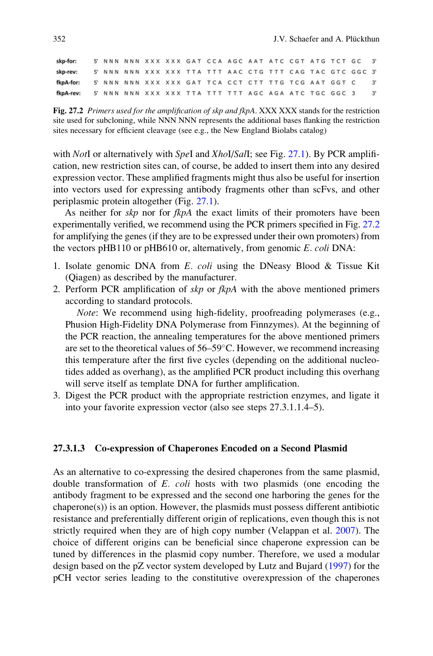| skp-for:                                                       |  |  |  |  |  |  | 5' NNN NNN XXX XXX GAT CCA AGC AAT ATC CGT ATG TCT GC 3'  |    |
|----------------------------------------------------------------|--|--|--|--|--|--|-----------------------------------------------------------|----|
| skp-rev:                                                       |  |  |  |  |  |  | 5' NNN NNN XXX XXX TTA TTT AAC CTG TTT CAG TAC GTC GGC 3' |    |
| fkpA-for: 5' NNN NNN XXX XXX GAT TCA CCT CTT TTG TCG AAT GGT C |  |  |  |  |  |  |                                                           | 3' |
| fkpA-rev: 5' NNN NNN XXX XXX TTA TTT TTT AGC AGA ATC TGC GGC 3 |  |  |  |  |  |  |                                                           | 3' |

Fig. 27.2 Primers used for the amplification of skp and fkpA. XXX XXX stands for the restriction site used for subcloning, while NNN NNN represents the additional bases flanking the restriction sites necessary for efficient cleavage (see e.g., the New England Biolabs catalog)

with NotI or alternatively with SpeI and XhoI/SaII; see Fig. [27.1](#page-6-0)). By PCR amplification, new restriction sites can, of course, be added to insert them into any desired expression vector. These amplified fragments might thus also be useful for insertion into vectors used for expressing antibody fragments other than scFvs, and other periplasmic protein altogether (Fig. 27.1).

As neither for *skp* nor for *fkpA* the exact limits of their promoters have been experimentally verified, we recommend using the PCR primers specified in Fig. 27.2 for amplifying the genes (if they are to be expressed under their own promoters) from the vectors pHB110 or pHB610 or, alternatively, from genomic E. coli DNA:

- 1. Isolate genomic DNA from E. coli using the DNeasy Blood & Tissue Kit (Qiagen) as described by the manufacturer.
- 2. Perform PCR amplification of  $\kappa$  or  $\beta$  with the above mentioned primers according to standard protocols.

Note: We recommend using high-fidelity, proofreading polymerases (e.g., Phusion High-Fidelity DNA Polymerase from Finnzymes). At the beginning of the PCR reaction, the annealing temperatures for the above mentioned primers are set to the theoretical values of  $56-59^{\circ}$ C. However, we recommend increasing this temperature after the first five cycles (depending on the additional nucleotides added as overhang), as the amplified PCR product including this overhang will serve itself as template DNA for further amplification.

3. Digest the PCR product with the appropriate restriction enzymes, and ligate it into your favorite expression vector (also see steps 27.3.1.1.4–5).

#### 27.3.1.3 Co-expression of Chaperones Encoded on a Second Plasmid

As an alternative to co-expressing the desired chaperones from the same plasmid, double transformation of E. coli hosts with two plasmids (one encoding the antibody fragment to be expressed and the second one harboring the genes for the chaperone(s)) is an option. However, the plasmids must possess different antibiotic resistance and preferentially different origin of replications, even though this is not strictly required when they are of high copy number (Velappan et al. [2007\)](#page-16-0). The choice of different origins can be beneficial since chaperone expression can be tuned by differences in the plasmid copy number. Therefore, we used a modular design based on the pZ vector system developed by Lutz and Bujard [\(1997](#page-15-0)) for the pCH vector series leading to the constitutive overexpression of the chaperones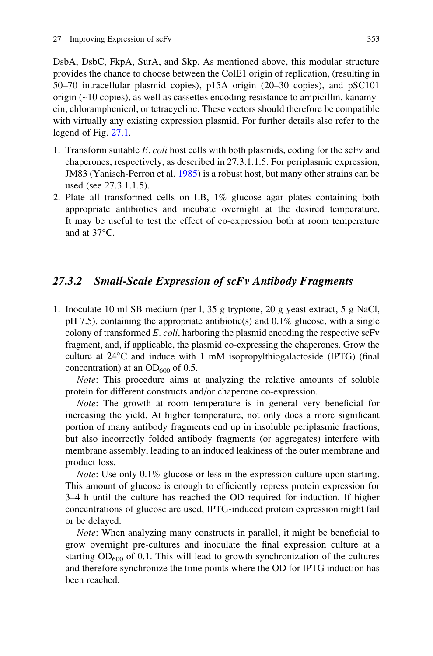DsbA, DsbC, FkpA, SurA, and Skp. As mentioned above, this modular structure provides the chance to choose between the ColE1 origin of replication, (resulting in 50–70 intracellular plasmid copies), p15A origin (20–30 copies), and pSC101 origin  $(\sim 10 \text{ copies})$ , as well as cassettes encoding resistance to ampicillin, kanamycin, chloramphenicol, or tetracycline. These vectors should therefore be compatible with virtually any existing expression plasmid. For further details also refer to the legend of Fig. [27.1.](#page-6-0)

- 1. Transform suitable  $E.$  coli host cells with both plasmids, coding for the scFv and chaperones, respectively, as described in 27.3.1.1.5. For periplasmic expression, JM83 (Yanisch-Perron et al. [1985\)](#page-16-0) is a robust host, but many other strains can be used (see 27.3.1.1.5).
- 2. Plate all transformed cells on LB, 1% glucose agar plates containing both appropriate antibiotics and incubate overnight at the desired temperature. It may be useful to test the effect of co-expression both at room temperature and at  $37^{\circ}$ C.

#### 27.3.2  $\frac{1}{2}$  smaller  $\frac{1}{2}$  smaller  $\frac{1}{2}$  and  $\frac{1}{2}$  and  $\frac{1}{2}$  and  $\frac{1}{2}$  and  $\frac{1}{2}$  and  $\frac{1}{2}$  and  $\frac{1}{2}$  and  $\frac{1}{2}$  and  $\frac{1}{2}$  and  $\frac{1}{2}$  and  $\frac{1}{2}$  and  $\frac{1}{2}$  and  $\frac{1}{2}$  and  $\frac$

1. Inoculate 10 ml SB medium (per l, 35 g tryptone, 20 g yeast extract, 5 g NaCl, pH 7.5), containing the appropriate antibiotic(s) and 0.1% glucose, with a single colony of transformed  $E.$  coli, harboring the plasmid encoding the respective scFv fragment, and, if applicable, the plasmid co-expressing the chaperones. Grow the culture at  $24^{\circ}$ C and induce with 1 mM isopropylthiogalactoside (IPTG) (final concentration) at an  $OD<sub>600</sub>$  of 0.5.

Note: This procedure aims at analyzing the relative amounts of soluble protein for different constructs and/or chaperone co-expression.

Note: The growth at room temperature is in general very beneficial for increasing the yield. At higher temperature, not only does a more significant portion of many antibody fragments end up in insoluble periplasmic fractions, but also incorrectly folded antibody fragments (or aggregates) interfere with membrane assembly, leading to an induced leakiness of the outer membrane and product loss.

Note: Use only 0.1% glucose or less in the expression culture upon starting. This amount of glucose is enough to efficiently repress protein expression for 3–4 h until the culture has reached the OD required for induction. If higher concentrations of glucose are used, IPTG-induced protein expression might fail or be delayed.

Note: When analyzing many constructs in parallel, it might be beneficial to grow overnight pre-cultures and inoculate the final expression culture at a starting  $OD_{600}$  of 0.1. This will lead to growth synchronization of the cultures and therefore synchronize the time points where the OD for IPTG induction has been reached.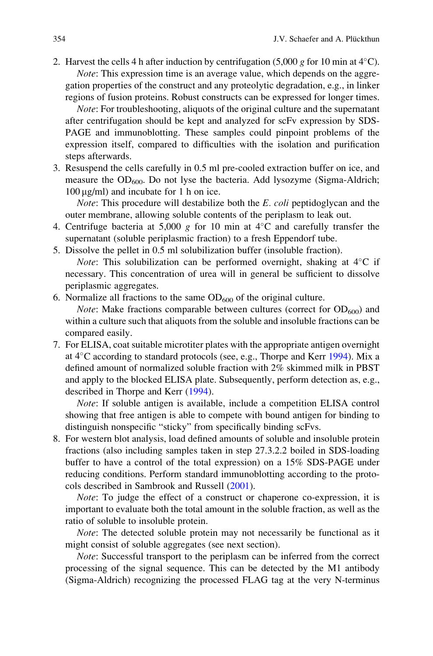2. Harvest the cells 4 h after induction by centrifugation  $(5,000 \text{ g for } 10 \text{ min at } 4^{\circ}\text{C})$ . Note: This expression time is an average value, which depends on the aggregation properties of the construct and any proteolytic degradation, e.g., in linker regions of fusion proteins. Robust constructs can be expressed for longer times.

Note: For troubleshooting, aliquots of the original culture and the supernatant after centrifugation should be kept and analyzed for scFv expression by SDS-PAGE and immunoblotting. These samples could pinpoint problems of the expression itself, compared to difficulties with the isolation and purification steps afterwards.

3. Resuspend the cells carefully in 0.5 ml pre-cooled extraction buffer on ice, and measure the  $OD_{600}$ . Do not lyse the bacteria. Add lysozyme (Sigma-Aldrich;  $100 \mu g/ml$ ) and incubate for 1 h on ice.

Note: This procedure will destabilize both the E. coli peptidoglycan and the outer membrane, allowing soluble contents of the periplasm to leak out.

- 4. Centrifuge bacteria at 5,000 g for 10 min at  $4^{\circ}$ C and carefully transfer the supernatant (soluble periplasmic fraction) to a fresh Eppendorf tube.
- 5. Dissolve the pellet in 0.5 ml solubilization buffer (insoluble fraction).

*Note*: This solubilization can be performed overnight, shaking at  $4^{\circ}$ C if necessary. This concentration of urea will in general be sufficient to dissolve periplasmic aggregates.

6. Normalize all fractions to the same  $OD<sub>600</sub>$  of the original culture.

*Note*: Make fractions comparable between cultures (correct for  $OD_{600}$ ) and within a culture such that aliquots from the soluble and insoluble fractions can be compared easily.

7. For ELISA, coat suitable microtiter plates with the appropriate antigen overnight at  $4^{\circ}$ C according to standard protocols (see, e.g., Thorpe and Kerr [1994](#page-16-0)). Mix a defined amount of normalized soluble fraction with 2% skimmed milk in PBST and apply to the blocked ELISA plate. Subsequently, perform detection as, e.g., described in Thorpe and Kerr [\(1994](#page-16-0)).

Note: If soluble antigen is available, include a competition ELISA control showing that free antigen is able to compete with bound antigen for binding to distinguish nonspecific "sticky" from specifically binding scFvs.

8. For western blot analysis, load defined amounts of soluble and insoluble protein fractions (also including samples taken in step 27.3.2.2 boiled in SDS-loading buffer to have a control of the total expression) on a 15% SDS-PAGE under reducing conditions. Perform standard immunoblotting according to the protocols described in Sambrook and Russell ([2001\)](#page-16-0).

Note: To judge the effect of a construct or chaperone co-expression, it is important to evaluate both the total amount in the soluble fraction, as well as the ratio of soluble to insoluble protein.

Note: The detected soluble protein may not necessarily be functional as it might consist of soluble aggregates (see next section).

Note: Successful transport to the periplasm can be inferred from the correct processing of the signal sequence. This can be detected by the M1 antibody (Sigma-Aldrich) recognizing the processed FLAG tag at the very N-terminus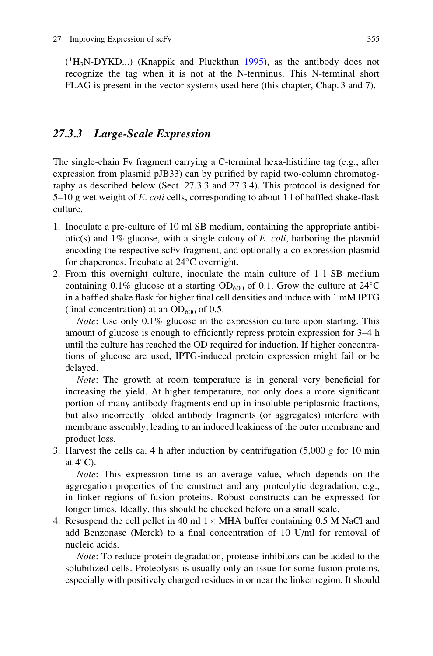(<sup>+</sup>H<sub>3</sub>N-DYKD...) (Knappik and Plückthun [1995\)](#page-15-0), as the antibody does not recognize the tag when it is not at the N-terminus. This N-terminal short FLAG is present in the vector systems used here (this chapter, Chap. 3 and 7).

# $\overline{3}$

The single-chain Fv fragment carrying a C-terminal hexa-histidine tag (e.g., after expression from plasmid pJB33) can by purified by rapid two-column chromatography as described below (Sect. 27.3.3 and 27.3.4). This protocol is designed for 5–10 g wet weight of  $E$ . coli cells, corresponding to about 11 of baffled shake-flask culture.

- 1. Inoculate a pre-culture of 10 ml SB medium, containing the appropriate antibiotic(s) and  $1\%$  glucose, with a single colony of E. *coli*, harboring the plasmid encoding the respective scFv fragment, and optionally a co-expression plasmid for chaperones. Incubate at  $24^{\circ}$ C overnight.
- 2. From this overnight culture, inoculate the main culture of 1 l SB medium containing 0.1% glucose at a starting  $OD_{600}$  of 0.1. Grow the culture at 24°C in a baffled shake flask for higher final cell densities and induce with 1 mM IPTG (final concentration) at an  $OD_{600}$  of 0.5.

Note: Use only 0.1% glucose in the expression culture upon starting. This amount of glucose is enough to efficiently repress protein expression for 3–4 h until the culture has reached the OD required for induction. If higher concentrations of glucose are used, IPTG-induced protein expression might fail or be delayed.

Note: The growth at room temperature is in general very beneficial for increasing the yield. At higher temperature, not only does a more significant portion of many antibody fragments end up in insoluble periplasmic fractions, but also incorrectly folded antibody fragments (or aggregates) interfere with membrane assembly, leading to an induced leakiness of the outer membrane and product loss.

3. Harvest the cells ca. 4 h after induction by centrifugation  $(5,000 \text{ g}$  for 10 min at  $4^{\circ}$ C).

Note: This expression time is an average value, which depends on the aggregation properties of the construct and any proteolytic degradation, e.g., in linker regions of fusion proteins. Robust constructs can be expressed for longer times. Ideally, this should be checked before on a small scale.

4. Resuspend the cell pellet in 40 ml  $1 \times$  MHA buffer containing 0.5 M NaCl and add Benzonase (Merck) to a final concentration of 10 U/ml for removal of nucleic acids.

Note: To reduce protein degradation, protease inhibitors can be added to the solubilized cells. Proteolysis is usually only an issue for some fusion proteins, especially with positively charged residues in or near the linker region. It should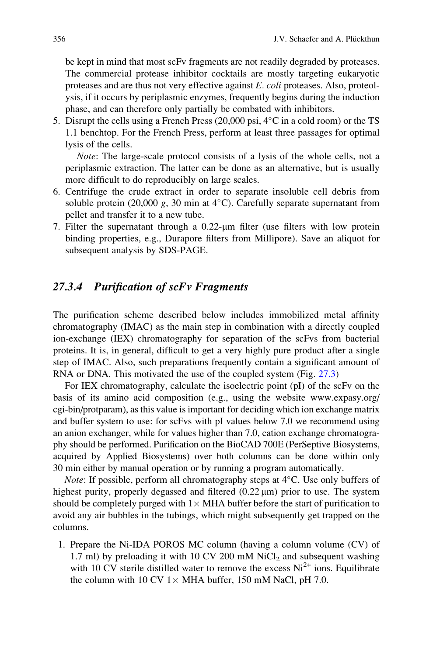be kept in mind that most scFv fragments are not readily degraded by proteases. The commercial protease inhibitor cocktails are mostly targeting eukaryotic proteases and are thus not very effective against E. coli proteases. Also, proteolysis, if it occurs by periplasmic enzymes, frequently begins during the induction phase, and can therefore only partially be combated with inhibitors.

5. Disrupt the cells using a French Press  $(20,000 \text{ psi}, 4^{\circ} \text{C} \text{ in a cold room})$  or the TS 1.1 benchtop. For the French Press, perform at least three passages for optimal lysis of the cells.

Note: The large-scale protocol consists of a lysis of the whole cells, not a periplasmic extraction. The latter can be done as an alternative, but is usually more difficult to do reproducibly on large scales.

- 6. Centrifuge the crude extract in order to separate insoluble cell debris from soluble protein (20,000 g, 30 min at  $4^{\circ}$ C). Carefully separate supernatant from pellet and transfer it to a new tube.
- 7. Filter the supernatant through a  $0.22$ - $\mu$ m filter (use filters with low protein binding properties, e.g., Durapore filters from Millipore). Save an aliquot for subsequent analysis by SDS-PAGE.

## $\overline{y}$   $\overline{y}$   $\overline{y}$   $\overline{y}$

The purification scheme described below includes immobilized metal affinity chromatography (IMAC) as the main step in combination with a directly coupled ion-exchange (IEX) chromatography for separation of the scFvs from bacterial proteins. It is, in general, difficult to get a very highly pure product after a single step of IMAC. Also, such preparations frequently contain a significant amount of RNA or DNA. This motivated the use of the coupled system (Fig. [27.3\)](#page-12-0)

For IEX chromatography, calculate the isoelectric point (pI) of the scFv on the basis of its amino acid composition (e.g., using the website www.expasy.org/ cgi-bin/protparam), as this value is important for deciding which ion exchange matrix and buffer system to use: for scFvs with pI values below 7.0 we recommend using an anion exchanger, while for values higher than 7.0, cation exchange chromatography should be performed. Purification on the BioCAD 700E (PerSeptive Biosystems, acquired by Applied Biosystems) over both columns can be done within only 30 min either by manual operation or by running a program automatically.

*Note*: If possible, perform all chromatography steps at  $4^{\circ}$ C. Use only buffers of highest purity, properly degassed and filtered  $(0.22 \,\mu m)$  prior to use. The system should be completely purged with  $1 \times$  MHA buffer before the start of purification to avoid any air bubbles in the tubings, which might subsequently get trapped on the columns.

1. Prepare the Ni-IDA POROS MC column (having a column volume (CV) of 1.7 ml) by preloading it with 10 CV 200 mM  $\text{NiCl}_2$  and subsequent washing with 10 CV sterile distilled water to remove the excess  $Ni<sup>2+</sup>$  ions. Equilibrate the column with 10 CV  $1 \times$  MHA buffer, 150 mM NaCl, pH 7.0.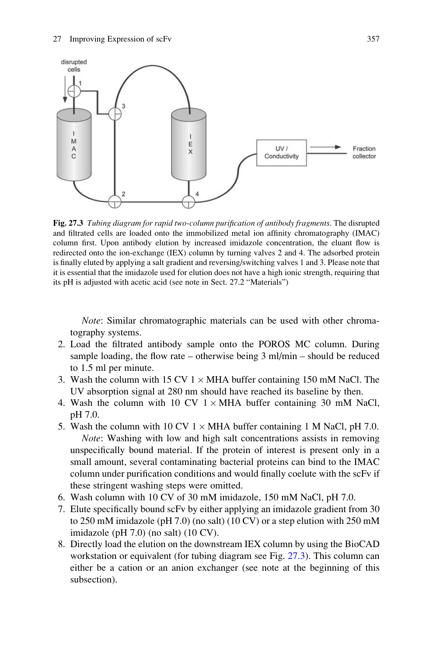<span id="page-12-0"></span>

Fig. 27.3 Tubing diagram for rapid two-column purification of antibody fragments. The disrupted and filtrated cells are loaded onto the immobilized metal ion affinity chromatography (IMAC) column first. Upon antibody elution by increased imidazole concentration, the eluant flow is redirected onto the ion-exchange (IEX) column by turning valves 2 and 4. The adsorbed protein is finally eluted by applying a salt gradient and reversing/switching valves 1 and 3. Please note that it is essential that the imidazole used for elution does not have a high ionic strength, requiring that its pH is adjusted with acetic acid (see note in Sect. 27.2 "Materials")

Note: Similar chromatographic materials can be used with other chromatography systems.

- 2. Load the filtrated antibody sample onto the POROS MC column. During sample loading, the flow rate – otherwise being 3 ml/min – should be reduced to 1.5 ml per minute.
- 3. Wash the column with 15 CV 1  $\times$  MHA buffer containing 150 mM NaCl. The UV absorption signal at 280 nm should have reached its baseline by then.
- 4. Wash the column with 10 CV  $1 \times MHA$  buffer containing 30 mM NaCl, pH 7.0.
- 5. Wash the column with 10 CV  $1 \times$  MHA buffer containing 1 M NaCl, pH 7.0. Note: Washing with low and high salt concentrations assists in removing unspecifically bound material. If the protein of interest is present only in a small amount, several contaminating bacterial proteins can bind to the IMAC column under purification conditions and would finally coelute with the scFv if these stringent washing steps were omitted.
- 6. Wash column with 10 CV of 30 mM imidazole, 150 mM NaCl, pH 7.0.
- 7. Elute specifically bound scFv by either applying an imidazole gradient from 30 to 250 mM imidazole (pH 7.0) (no salt) (10 CV) or a step elution with 250 mM imidazole (pH 7.0) (no salt) (10 CV).
- 8. Directly load the elution on the downstream IEX column by using the BioCAD workstation or equivalent (for tubing diagram see Fig. 27.3). This column can either be a cation or an anion exchanger (see note at the beginning of this subsection).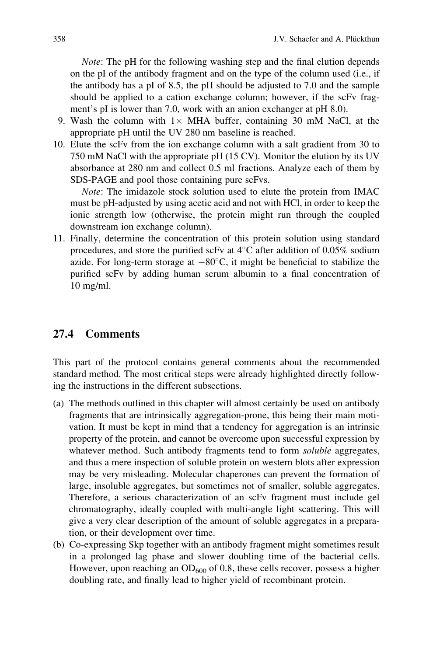Note: The pH for the following washing step and the final elution depends on the pI of the antibody fragment and on the type of the column used (i.e., if the antibody has a pI of 8.5, the pH should be adjusted to 7.0 and the sample should be applied to a cation exchange column; however, if the scFv fragment's pI is lower than 7.0, work with an anion exchanger at pH 8.0).

- 9. Wash the column with  $1 \times$  MHA buffer, containing 30 mM NaCl, at the appropriate pH until the UV 280 nm baseline is reached.
- 10. Elute the scFv from the ion exchange column with a salt gradient from 30 to 750 mM NaCl with the appropriate pH (15 CV). Monitor the elution by its UV absorbance at 280 nm and collect 0.5 ml fractions. Analyze each of them by SDS-PAGE and pool those containing pure scFvs.

Note: The imidazole stock solution used to elute the protein from IMAC must be pH-adjusted by using acetic acid and not with HCl, in order to keep the ionic strength low (otherwise, the protein might run through the coupled downstream ion exchange column).

11. Finally, determine the concentration of this protein solution using standard procedures, and store the purified scFv at  $4^{\circ}$ C after addition of 0.05% sodium azide. For long-term storage at  $-80^{\circ}$ C, it might be beneficial to stabilize the purified scFv by adding human serum albumin to a final concentration of 10 mg/ml.

## 27.4 Comments

This part of the protocol contains general comments about the recommended standard method. The most critical steps were already highlighted directly following the instructions in the different subsections.

- (a) The methods outlined in this chapter will almost certainly be used on antibody fragments that are intrinsically aggregation-prone, this being their main motivation. It must be kept in mind that a tendency for aggregation is an intrinsic property of the protein, and cannot be overcome upon successful expression by whatever method. Such antibody fragments tend to form *soluble* aggregates, and thus a mere inspection of soluble protein on western blots after expression may be very misleading. Molecular chaperones can prevent the formation of large, insoluble aggregates, but sometimes not of smaller, soluble aggregates. Therefore, a serious characterization of an scFv fragment must include gel chromatography, ideally coupled with multi-angle light scattering. This will give a very clear description of the amount of soluble aggregates in a preparation, or their development over time.
- (b) Co-expressing Skp together with an antibody fragment might sometimes result in a prolonged lag phase and slower doubling time of the bacterial cells. However, upon reaching an  $OD_{600}$  of 0.8, these cells recover, possess a higher doubling rate, and finally lead to higher yield of recombinant protein.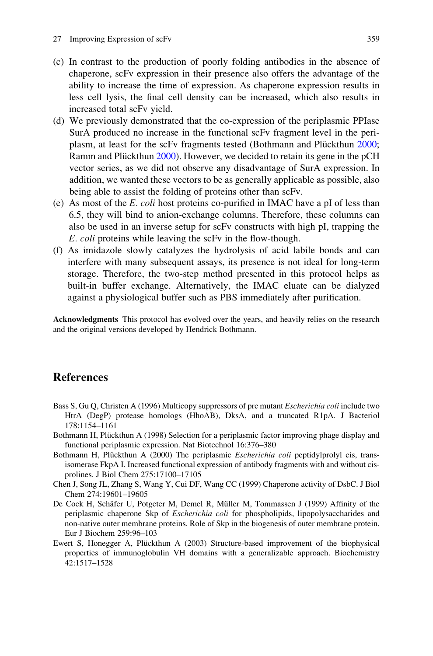<span id="page-14-0"></span>27 Improving Expression of scFv 359

- (c) In contrast to the production of poorly folding antibodies in the absence of chaperone, scFv expression in their presence also offers the advantage of the ability to increase the time of expression. As chaperone expression results in less cell lysis, the final cell density can be increased, which also results in increased total scFv yield.
- (d) We previously demonstrated that the co-expression of the periplasmic PPIase SurA produced no increase in the functional scFv fragment level in the periplasm, at least for the scFv fragments tested (Bothmann and Plückthun 2000; Ramm and Plückthun [2000\)](#page-16-0). However, we decided to retain its gene in the pCH vector series, as we did not observe any disadvantage of SurA expression. In addition, we wanted these vectors to be as generally applicable as possible, also being able to assist the folding of proteins other than scFv.
- (e) As most of the E. coli host proteins co-purified in IMAC have a pI of less than 6.5, they will bind to anion-exchange columns. Therefore, these columns can also be used in an inverse setup for scFv constructs with high pI, trapping the E. coli proteins while leaving the scFv in the flow-though.
- (f) As imidazole slowly catalyzes the hydrolysis of acid labile bonds and can interfere with many subsequent assays, its presence is not ideal for long-term storage. Therefore, the two-step method presented in this protocol helps as built-in buffer exchange. Alternatively, the IMAC eluate can be dialyzed against a physiological buffer such as PBS immediately after purification.

Acknowledgments This protocol has evolved over the years, and heavily relies on the research and the original versions developed by Hendrick Bothmann.

#### References

- Bass S, Gu Q, Christen A (1996) Multicopy suppressors of prc mutant Escherichia coli include two HtrA (DegP) protease homologs (HhoAB), DksA, and a truncated R1pA. J Bacteriol 178:1154–1161
- Bothmann H, Plückthun A (1998) Selection for a periplasmic factor improving phage display and functional periplasmic expression. Nat Biotechnol 16:376–380
- Bothmann H, Plückthun A (2000) The periplasmic *Escherichia coli* peptidylprolyl cis, transisomerase FkpA I. Increased functional expression of antibody fragments with and without cisprolines. J Biol Chem 275:17100–17105
- Chen J, Song JL, Zhang S, Wang Y, Cui DF, Wang CC (1999) Chaperone activity of DsbC. J Biol Chem 274:19601–19605
- De Cock H, Schäfer U, Potgeter M, Demel R, Müller M, Tommassen J (1999) Affinity of the periplasmic chaperone Skp of Escherichia coli for phospholipids, lipopolysaccharides and non-native outer membrane proteins. Role of Skp in the biogenesis of outer membrane protein. Eur J Biochem 259:96–103
- Ewert S, Honegger A, Plückthun A (2003) Structure-based improvement of the biophysical properties of immunoglobulin VH domains with a generalizable approach. Biochemistry 42:1517–1528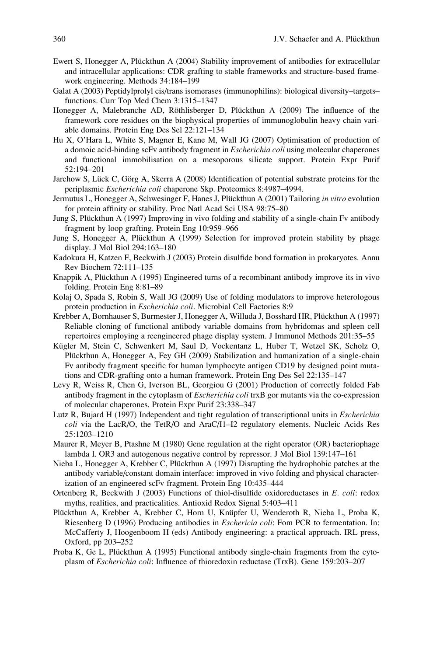- <span id="page-15-0"></span>Ewert S, Honegger A, Plückthun A (2004) Stability improvement of antibodies for extracellular and intracellular applications: CDR grafting to stable frameworks and structure-based framework engineering. Methods 34:184–199
- Galat A (2003) Peptidylprolyl cis/trans isomerases (immunophilins): biological diversity–targets– functions. Curr Top Med Chem 3:1315–1347
- Honegger A, Malebranche AD, Röthlisberger D, Plückthun A (2009) The influence of the framework core residues on the biophysical properties of immunoglobulin heavy chain variable domains. Protein Eng Des Sel 22:121–134
- Hu X, O'Hara L, White S, Magner E, Kane M, Wall JG (2007) Optimisation of production of a domoic acid-binding scFv antibody fragment in *Escherichia coli* using molecular chaperones and functional immobilisation on a mesoporous silicate support. Protein Expr Purif 52:194–201
- Jarchow S, Lück C, Görg A, Skerra A (2008) Identification of potential substrate proteins for the periplasmic Escherichia coli chaperone Skp. Proteomics 8:4987–4994.
- Jermutus L, Honegger A, Schwesinger F, Hanes J, Plückthun A (2001) Tailoring in vitro evolution for protein affinity or stability. Proc Natl Acad Sci USA 98:75–80
- Jung S, Plückthun A (1997) Improving in vivo folding and stability of a single-chain Fv antibody fragment by loop grafting. Protein Eng 10:959–966
- Jung S, Honegger A, Plückthun A (1999) Selection for improved protein stability by phage display. J Mol Biol 294:163–180
- Kadokura H, Katzen F, Beckwith J (2003) Protein disulfide bond formation in prokaryotes. Annu Rev Biochem 72:111–135
- Knappik A, Plückthun A (1995) Engineered turns of a recombinant antibody improve its in vivo folding. Protein Eng 8:81–89
- Kolaj O, Spada S, Robin S, Wall JG (2009) Use of folding modulators to improve heterologous protein production in *Escherichia coli*. Microbial Cell Factories 8:9
- Krebber A, Bornhauser S, Burmester J, Honegger A, Willuda J, Bosshard HR, Plückthun A (1997) Reliable cloning of functional antibody variable domains from hybridomas and spleen cell repertoires employing a reengineered phage display system. J Immunol Methods 201:35–55
- Kügler M, Stein C, Schwenkert M, Saul D, Vockentanz L, Huber T, Wetzel SK, Scholz O, Plückthun A, Honegger A, Fey GH (2009) Stabilization and humanization of a single-chain Fv antibody fragment specific for human lymphocyte antigen CD19 by designed point mutations and CDR-grafting onto a human framework. Protein Eng Des Sel 22:135–147
- Levy R, Weiss R, Chen G, Iverson BL, Georgiou G (2001) Production of correctly folded Fab antibody fragment in the cytoplasm of *Escherichia coli* trxB gor mutants via the co-expression of molecular chaperones. Protein Expr Purif 23:338–347
- Lutz R, Bujard H (1997) Independent and tight regulation of transcriptional units in Escherichia coli via the LacR/O, the TetR/O and AraC/I1-I2 regulatory elements. Nucleic Acids Res 25:1203–1210
- Maurer R, Meyer B, Ptashne M (1980) Gene regulation at the right operator (OR) bacteriophage lambda I. OR3 and autogenous negative control by repressor. J Mol Biol 139:147–161
- Nieba L, Honegger A, Krebber C, Plückthun A (1997) Disrupting the hydrophobic patches at the antibody variable/constant domain interface: improved in vivo folding and physical characterization of an engineered scFv fragment. Protein Eng 10:435–444
- Ortenberg R, Beckwith J (2003) Functions of thiol-disulfide oxidoreductases in E. coli: redox myths, realities, and practicalities. Antioxid Redox Signal 5:403–411
- Plückthun A, Krebber A, Krebber C, Horn U, Knüpfer U, Wenderoth R, Nieba L, Proba K, Riesenberg D (1996) Producing antibodies in *Eschericia coli*: Fom PCR to fermentation. In: McCafferty J, Hoogenboom H (eds) Antibody engineering: a practical approach. IRL press, Oxford, pp 203–252
- Proba K, Ge L, Plückthun A (1995) Functional antibody single-chain fragments from the cytoplasm of Escherichia coli: Influence of thioredoxin reductase (TrxB). Gene 159:203–207